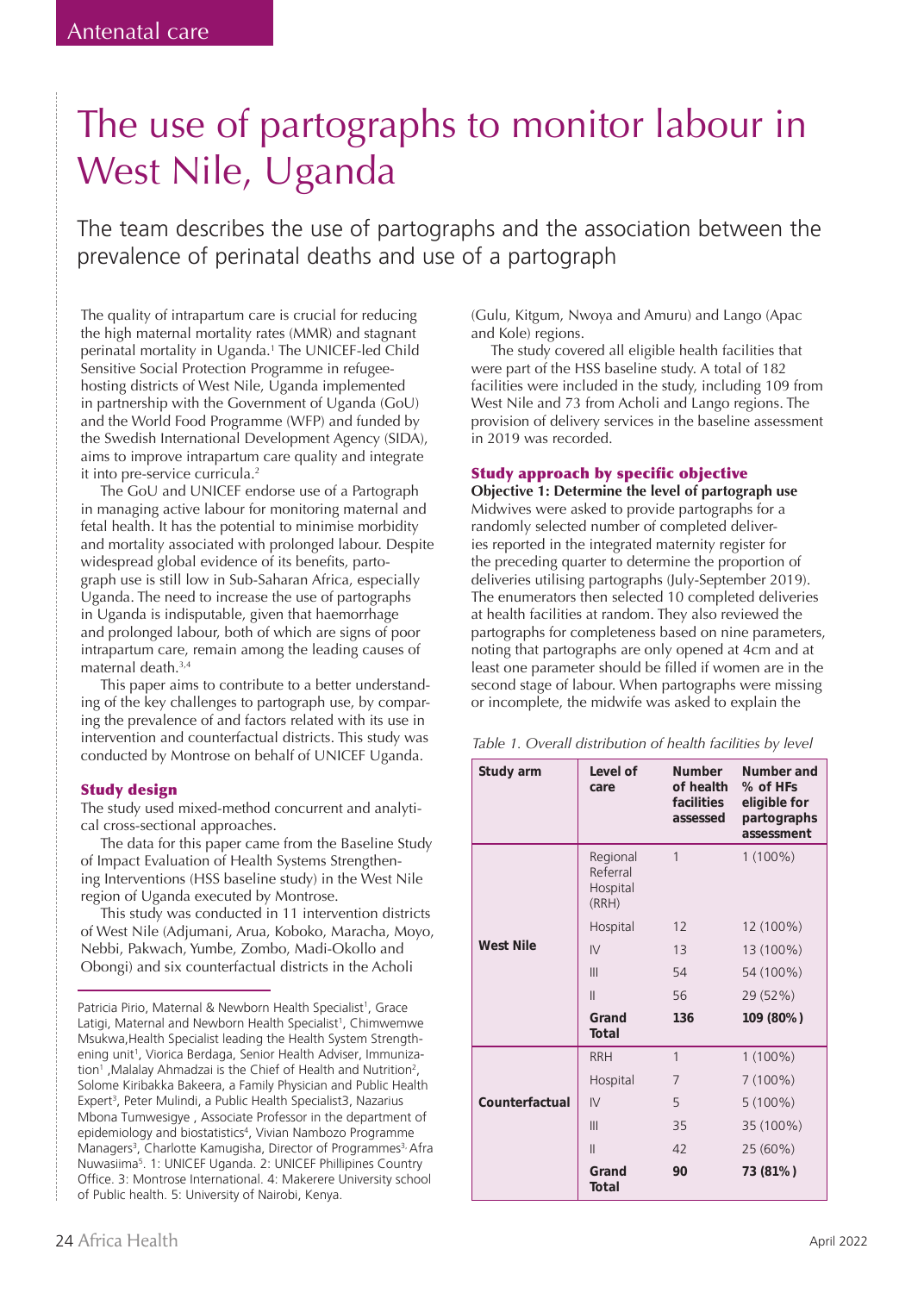# The use of partographs to monitor labour in West Nile, Uganda

The team describes the use of partographs and the association between the prevalence of perinatal deaths and use of a partograph

The quality of intrapartum care is crucial for reducing the high maternal mortality rates (MMR) and stagnant perinatal mortality in Uganda.1 The UNICEF-led Child Sensitive Social Protection Programme in refugeehosting districts of West Nile, Uganda implemented in partnership with the Government of Uganda (GoU) and the World Food Programme (WFP) and funded by the Swedish International Development Agency (SIDA), aims to improve intrapartum care quality and integrate it into pre-service curricula.<sup>2</sup>

The GoU and UNICEF endorse use of a Partograph in managing active labour for monitoring maternal and fetal health. It has the potential to minimise morbidity and mortality associated with prolonged labour. Despite widespread global evidence of its benefits, partograph use is still low in Sub-Saharan Africa, especially Uganda. The need to increase the use of partographs in Uganda is indisputable, given that haemorrhage and prolonged labour, both of which are signs of poor intrapartum care, remain among the leading causes of maternal death.3,4

This paper aims to contribute to a better understanding of the key challenges to partograph use, by comparing the prevalence of and factors related with its use in intervention and counterfactual districts. This study was conducted by Montrose on behalf of UNICEF Uganda.

## Study design

The study used mixed-method concurrent and analytical cross-sectional approaches.

The data for this paper came from the Baseline Study of Impact Evaluation of Health Systems Strengthening Interventions (HSS baseline study) in the West Nile region of Uganda executed by Montrose.

This study was conducted in 11 intervention districts of West Nile (Adjumani, Arua, Koboko, Maracha, Moyo, Nebbi, Pakwach, Yumbe, Zombo, Madi-Okollo and Obongi) and six counterfactual districts in the Acholi

(Gulu, Kitgum, Nwoya and Amuru) and Lango (Apac and Kole) regions.

The study covered all eligible health facilities that were part of the HSS baseline study. A total of 182 facilities were included in the study, including 109 from West Nile and 73 from Acholi and Lango regions. The provision of delivery services in the baseline assessment in 2019 was recorded.

## Study approach by specific objective

**Objective 1: Determine the level of partograph use**  Midwives were asked to provide partographs for a randomly selected number of completed deliveries reported in the integrated maternity register for the preceding quarter to determine the proportion of deliveries utilising partographs (July-September 2019). The enumerators then selected 10 completed deliveries at health facilities at random. They also reviewed the partographs for completeness based on nine parameters, noting that partographs are only opened at 4cm and at least one parameter should be filled if women are in the second stage of labour. When partographs were missing or incomplete, the midwife was asked to explain the

| Study arm        | Level of<br>care                          | Number<br>of health<br>facilities<br>assessed | Number and<br>% of HFs<br>eligible for<br>partographs<br>assessment |
|------------------|-------------------------------------------|-----------------------------------------------|---------------------------------------------------------------------|
|                  | Regional<br>Referral<br>Hospital<br>(RRH) | 1                                             | $1(100\%)$                                                          |
|                  | Hospital                                  | 12                                            | 12 (100%)                                                           |
| <b>West Nile</b> | IV                                        | 13                                            | 13 (100%)                                                           |
|                  | III                                       | 54                                            | 54 (100%)                                                           |
|                  | $\mathbf{  }$                             | 56                                            | 29 (52%)                                                            |
|                  | Grand<br>Total                            | 136                                           | 109 (80%)                                                           |
|                  | <b>RRH</b>                                | $\mathbf{1}$                                  | $1(100\%)$                                                          |
|                  | Hospital                                  | $\overline{7}$                                | $7(100\%)$                                                          |
| Counterfactual   | IV                                        | 5                                             | $5(100\%)$                                                          |
|                  | III                                       | 35                                            | 35 (100%)                                                           |
|                  | $\mathbf{  }$                             | 42                                            | 25 (60%)                                                            |
|                  | Grand<br>Total                            | 90                                            | 73 (81%)                                                            |

Patricia Pirio, Maternal & Newborn Health Specialist<sup>1</sup>, Grace Latigi, Maternal and Newborn Health Specialist<sup>1</sup>, Chimwemwe Msukwa,Health Specialist leading the Health System Strengthening unit<sup>1</sup>, Viorica Berdaga, Senior Health Adviser, Immunization<sup>1</sup>, Malalay Ahmadzai is the Chief of Health and Nutrition<sup>2</sup>, Solome Kiribakka Bakeera, a Family Physician and Public Health Expert<sup>3</sup>, Peter Mulindi, a Public Health Specialist3, Nazarius Mbona Tumwesigye , Associate Professor in the department of epidemiology and biostatistics<sup>4</sup>, Vivian Nambozo Programme Managers<sup>3</sup>, Charlotte Kamugisha, Director of Programmes<sup>3,</sup> Afra Nuwasiima5 . 1: UNICEF Uganda. 2: UNICEF Phillipines Country Office. 3: Montrose International. 4: Makerere University school of Public health. 5: University of Nairobi, Kenya.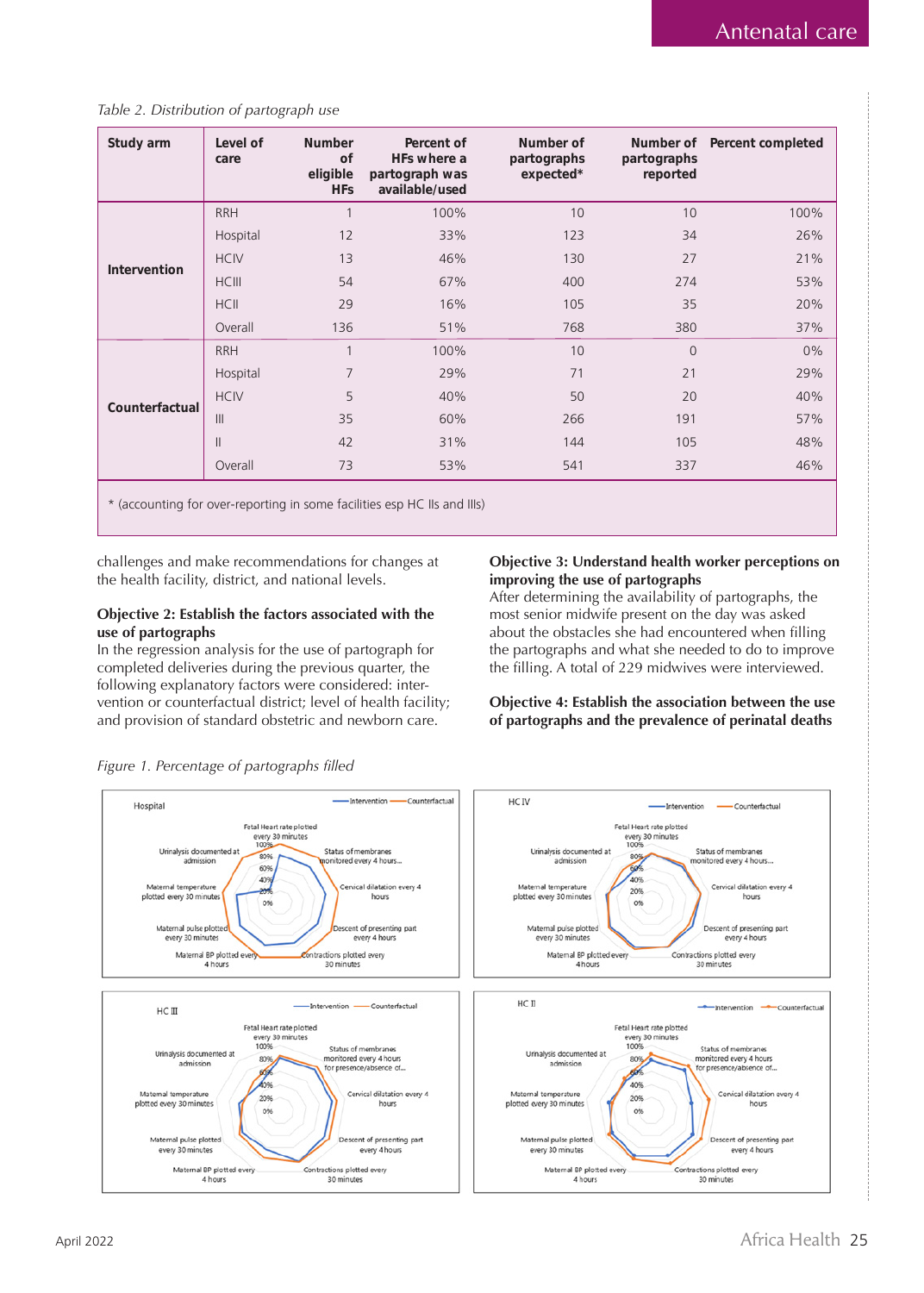## *Table 2. Distribution of partograph use*

| Study arm           | Level of<br>care | <b>Number</b><br>of<br>eligible<br><b>HFs</b> | Percent of<br>HFs where a<br>partograph was<br>available/used | Number of<br>partographs<br>expected* | Number of<br>partographs<br>reported | Percent completed |
|---------------------|------------------|-----------------------------------------------|---------------------------------------------------------------|---------------------------------------|--------------------------------------|-------------------|
|                     | <b>RRH</b>       | 1                                             | 100%                                                          | 10                                    | 10                                   | 100%              |
|                     | Hospital         | 12                                            | 33%                                                           | 123                                   | 34                                   | 26%               |
|                     | <b>HCIV</b>      | 13                                            | 46%                                                           | 130                                   | 27                                   | 21%               |
| <b>Intervention</b> | <b>HCIII</b>     | 54                                            | 67%                                                           | 400                                   | 274                                  | 53%               |
|                     | <b>HCII</b>      | 29                                            | 16%                                                           | 105                                   | 35                                   | 20%               |
|                     | Overall          | 136                                           | 51%                                                           | 768                                   | 380                                  | 37%               |
|                     | <b>RRH</b>       | $\overline{1}$                                | 100%                                                          | 10                                    | $\overline{0}$                       | 0%                |
|                     | Hospital         | 7                                             | 29%                                                           | 71                                    | 21                                   | 29%               |
| Counterfactual      | <b>HCIV</b>      | 5                                             | 40%                                                           | 50                                    | 20                                   | 40%               |
|                     | III              | 35                                            | 60%                                                           | 266                                   | 191                                  | 57%               |
|                     | $\mathbf{  }$    | 42                                            | 31%                                                           | 144                                   | 105                                  | 48%               |
|                     | Overall          | 73                                            | 53%                                                           | 541                                   | 337                                  | 46%               |

\* (accounting for over-reporting in some facilities esp HC IIs and IIIs)

challenges and make recommendations for changes at the health facility, district, and national levels.

## **Objective 2: Establish the factors associated with the use of partographs**

In the regression analysis for the use of partograph for completed deliveries during the previous quarter, the following explanatory factors were considered: intervention or counterfactual district; level of health facility; and provision of standard obstetric and newborn care.

## **Objective 3: Understand health worker perceptions on improving the use of partographs**

After determining the availability of partographs, the most senior midwife present on the day was asked about the obstacles she had encountered when filling the partographs and what she needed to do to improve the filling. A total of 229 midwives were interviewed.

## **Objective 4: Establish the association between the use of partographs and the prevalence of perinatal deaths**



*Figure 1. Percentage of partographs filled*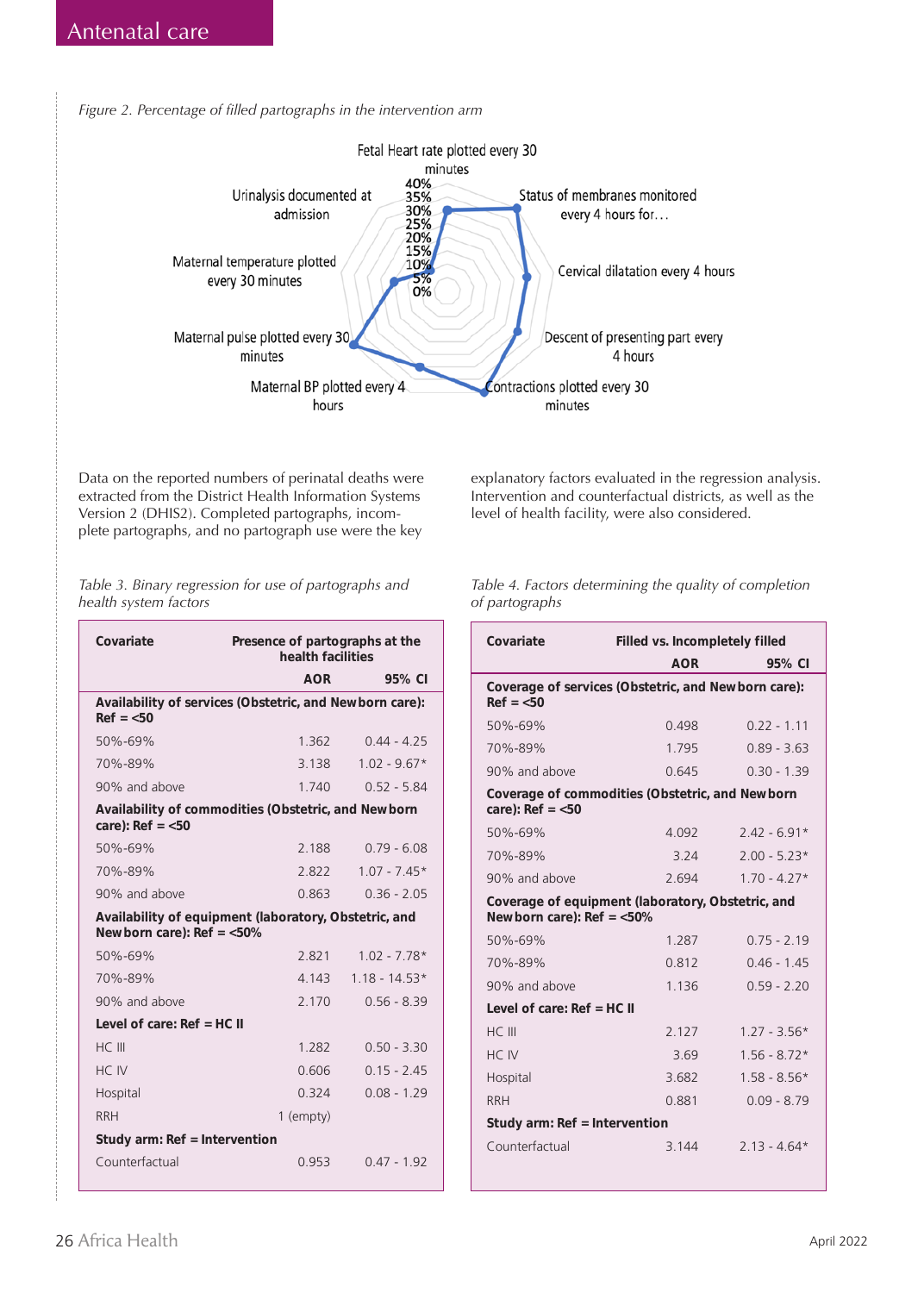*Figure 2. Percentage of filled partographs in the intervention arm*



Data on the reported numbers of perinatal deaths were extracted from the District Health Information Systems Version 2 (DHIS2). Completed partographs, incomplete partographs, and no partograph use were the key

*Table 3. Binary regression for use of partographs and health system factors*

| Covariate                       | Presence of partographs at the<br>health facilities     |                 |  |
|---------------------------------|---------------------------------------------------------|-----------------|--|
|                                 | AOR                                                     | 95% CI          |  |
| $Ref = <50$                     | Availability of services (Obstetric, and Newborn care): |                 |  |
| 50%-69%                         | 1.362                                                   | $0.44 - 4.25$   |  |
| 70%-89%                         | 3.138                                                   | $1.02 - 9.67*$  |  |
| 90% and above                   | 1740                                                    | $0.52 - 5.84$   |  |
| care): $Ref = <50$              | Availability of commodities (Obstetric, and Newborn     |                 |  |
| 50%-69%                         | 2.188                                                   | $0.79 - 6.08$   |  |
| 70%-89%                         | 2822                                                    | $1.07 - 7.45*$  |  |
| 90% and above                   | 0.863                                                   | $0.36 - 2.05$   |  |
| Newborn care): $Ref = <50\%$    | Availability of equipment (laboratory, Obstetric, and   |                 |  |
| 50%-69%                         | 2821                                                    | $1.02 - 7.78*$  |  |
| 70%-89%                         | 4.143                                                   | $1.18 - 14.53*$ |  |
| 90% and above                   | 2.170                                                   | $0.56 - 8.39$   |  |
| Level of care: $Ref = HC$ II    |                                                         |                 |  |
| HC III                          | 1.282                                                   | $0.50 - 3.30$   |  |
| HC IV                           | 0.606                                                   | $0.15 - 2.45$   |  |
| Hospital                        | 0 3 2 4                                                 | $0.08 - 1.29$   |  |
| <b>RRH</b>                      | 1 (empty)                                               |                 |  |
| Study arm: $Ref = Intervention$ |                                                         |                 |  |
| Counterfactual                  | 0.953                                                   | $047 - 192$     |  |

explanatory factors evaluated in the regression analysis. Intervention and counterfactual districts, as well as the level of health facility, were also considered.

| Table 4. Factors determining the quality of completion |
|--------------------------------------------------------|
| of partographs                                         |
|                                                        |

| Covariate                                                                         | Filled vs. Incompletely filled |                |  |  |
|-----------------------------------------------------------------------------------|--------------------------------|----------------|--|--|
|                                                                                   | <b>AOR</b>                     | 95% CI         |  |  |
| Coverage of services (Obstetric, and Newborn care):<br>$Ref = <50$                |                                |                |  |  |
| 50%-69%                                                                           | 0.498                          | $0.22 - 1.11$  |  |  |
| 70%-89%                                                                           | 1.795                          | $0.89 - 3.63$  |  |  |
| 90% and above                                                                     | 0.645                          | $0.30 - 1.39$  |  |  |
| Coverage of commodities (Obstetric, and Newborn<br>care): $Ref = <50$             |                                |                |  |  |
| 50%-69%                                                                           | 4.092                          | $7.47 - 6.91*$ |  |  |
| 70%-89%                                                                           | 3.24                           | $2.00 - 5.23*$ |  |  |
| 90% and above                                                                     | 2694                           | $170 - 477*$   |  |  |
| Coverage of equipment (laboratory, Obstetric, and<br>Newborn care): $Ref = <50\%$ |                                |                |  |  |
| 50%-69%                                                                           | 1.287                          | $0.75 - 2.19$  |  |  |
| 70%-89%                                                                           | 0.812                          | $0.46 - 1.45$  |  |  |
| 90% and above                                                                     | 1.136                          | $0.59 - 2.20$  |  |  |
| Level of care: $Ref = HC$ II                                                      |                                |                |  |  |
| HC III                                                                            | 2.127                          | $1.27 - 3.56*$ |  |  |
| HC IV                                                                             | 3.69                           | $1.56 - 8.72*$ |  |  |
| Hospital                                                                          | 3.682                          | $1.58 - 8.56*$ |  |  |
| <b>RRH</b>                                                                        | 0.881                          | $0.09 - 8.79$  |  |  |
| Study arm: $Ref = Intervention$                                                   |                                |                |  |  |
| Counterfactual                                                                    | 3 1 4 4                        | $213 - 464*$   |  |  |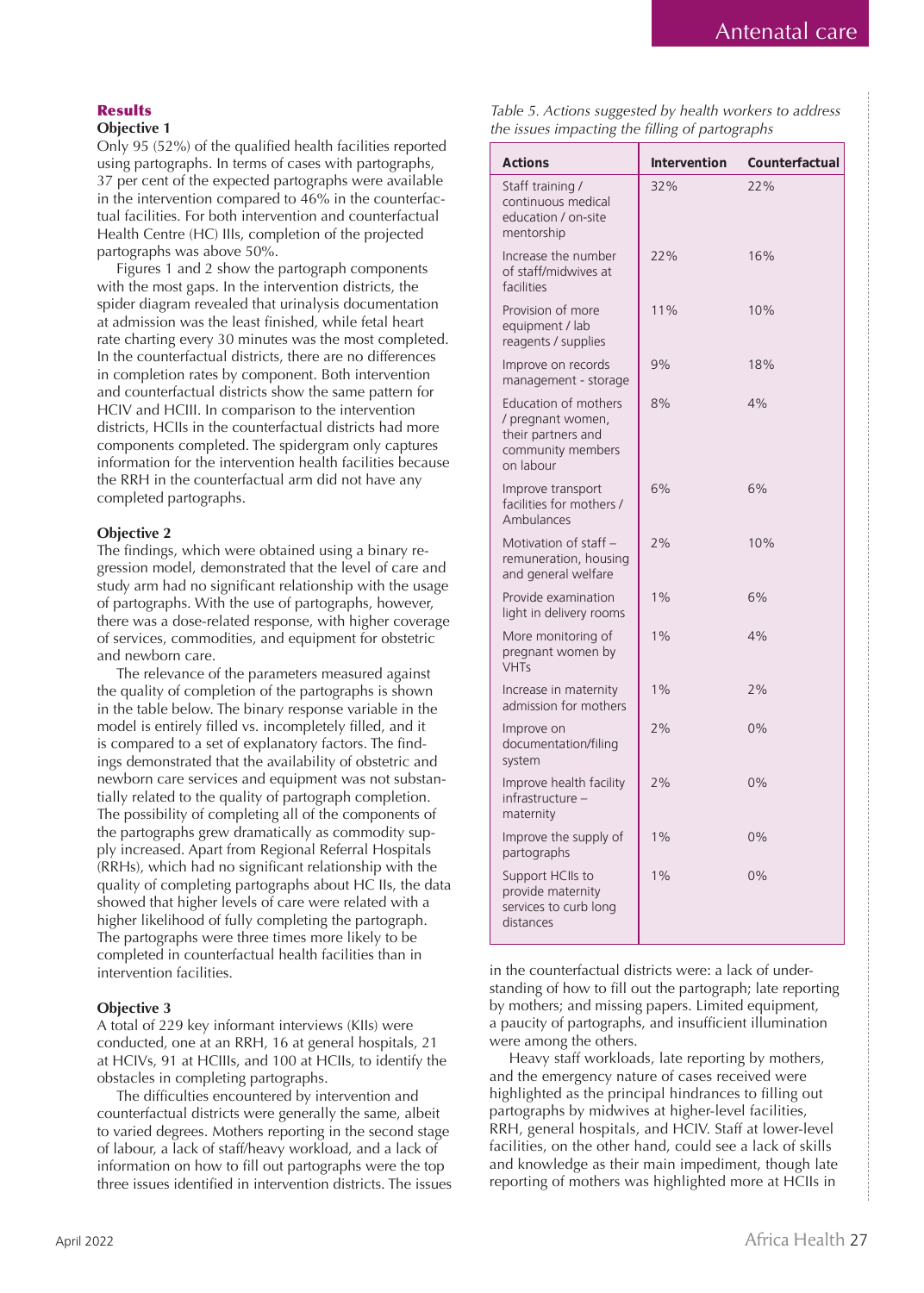## **Results**

## **Objective 1**

Only 95 (52%) of the qualified health facilities reported using partographs. In terms of cases with partographs, 37 per cent of the expected partographs were available in the intervention compared to 46% in the counterfactual facilities. For both intervention and counterfactual Health Centre (HC) IIIs, completion of the projected partographs was above 50%.

Figures 1 and 2 show the partograph components with the most gaps. In the intervention districts, the spider diagram revealed that urinalysis documentation at admission was the least finished, while fetal heart rate charting every 30 minutes was the most completed. In the counterfactual districts, there are no differences in completion rates by component. Both intervention and counterfactual districts show the same pattern for HCIV and HCIII. In comparison to the intervention districts, HCIIs in the counterfactual districts had more components completed. The spidergram only captures information for the intervention health facilities because the RRH in the counterfactual arm did not have any completed partographs.

## **Objective 2**

The findings, which were obtained using a binary regression model, demonstrated that the level of care and study arm had no significant relationship with the usage of partographs. With the use of partographs, however, there was a dose-related response, with higher coverage of services, commodities, and equipment for obstetric and newborn care.

The relevance of the parameters measured against the quality of completion of the partographs is shown in the table below. The binary response variable in the model is entirely filled vs. incompletely filled, and it is compared to a set of explanatory factors. The findings demonstrated that the availability of obstetric and newborn care services and equipment was not substantially related to the quality of partograph completion. The possibility of completing all of the components of the partographs grew dramatically as commodity supply increased. Apart from Regional Referral Hospitals (RRHs), which had no significant relationship with the quality of completing partographs about HC IIs, the data showed that higher levels of care were related with a higher likelihood of fully completing the partograph. The partographs were three times more likely to be completed in counterfactual health facilities than in intervention facilities.

## **Objective 3**

A total of 229 key informant interviews (KIIs) were conducted, one at an RRH, 16 at general hospitals, 21 at HCIVs, 91 at HCIIIs, and 100 at HCIIs, to identify the obstacles in completing partographs.

The difficulties encountered by intervention and counterfactual districts were generally the same, albeit to varied degrees. Mothers reporting in the second stage of labour, a lack of staff/heavy workload, and a lack of information on how to fill out partographs were the top three issues identified in intervention districts. The issues

*Table 5. Actions suggested by health workers to address the issues impacting the filling of partographs* 

| <b>Actions</b>                                                                                           | Intervention | Counterfactual |
|----------------------------------------------------------------------------------------------------------|--------------|----------------|
| Staff training /<br>continuous medical<br>education / on-site<br>mentorship                              | 32%          | 22%            |
| Increase the number<br>of staff/midwives at<br>facilities                                                | 22%          | 16%            |
| Provision of more<br>equipment / lab<br>reagents / supplies                                              | 11%          | 10%            |
| Improve on records<br>management - storage                                                               | 9%           | 18%            |
| <b>Education of mothers</b><br>/ pregnant women,<br>their partners and<br>community members<br>on labour | 8%           | 4%             |
| Improve transport<br>facilities for mothers /<br>Ambulances                                              | 6%           | 6%             |
| Motivation of staff -<br>remuneration, housing<br>and general welfare                                    | 7%           | 10%            |
| Provide examination<br>light in delivery rooms                                                           | 1%           | 6%             |
| More monitoring of<br>pregnant women by<br><b>VHTs</b>                                                   | 1%           | 4%             |
| Increase in maternity<br>admission for mothers                                                           | 1%           | 7%             |
| Improve on<br>documentation/filing<br>system                                                             | 7%           | 0%             |
| Improve health facility<br>infrastructure –<br>maternity                                                 | 2%           | 0%             |
| Improve the supply of<br>partographs                                                                     | $1\%$        | 0%             |
| Support HClls to<br>provide maternity<br>services to curb long<br>distances                              | 1%           | 0%             |

in the counterfactual districts were: a lack of understanding of how to fill out the partograph; late reporting by mothers; and missing papers. Limited equipment, a paucity of partographs, and insufficient illumination were among the others.

Heavy staff workloads, late reporting by mothers, and the emergency nature of cases received were highlighted as the principal hindrances to filling out partographs by midwives at higher-level facilities, RRH, general hospitals, and HCIV. Staff at lower-level facilities, on the other hand, could see a lack of skills and knowledge as their main impediment, though late reporting of mothers was highlighted more at HCIIs in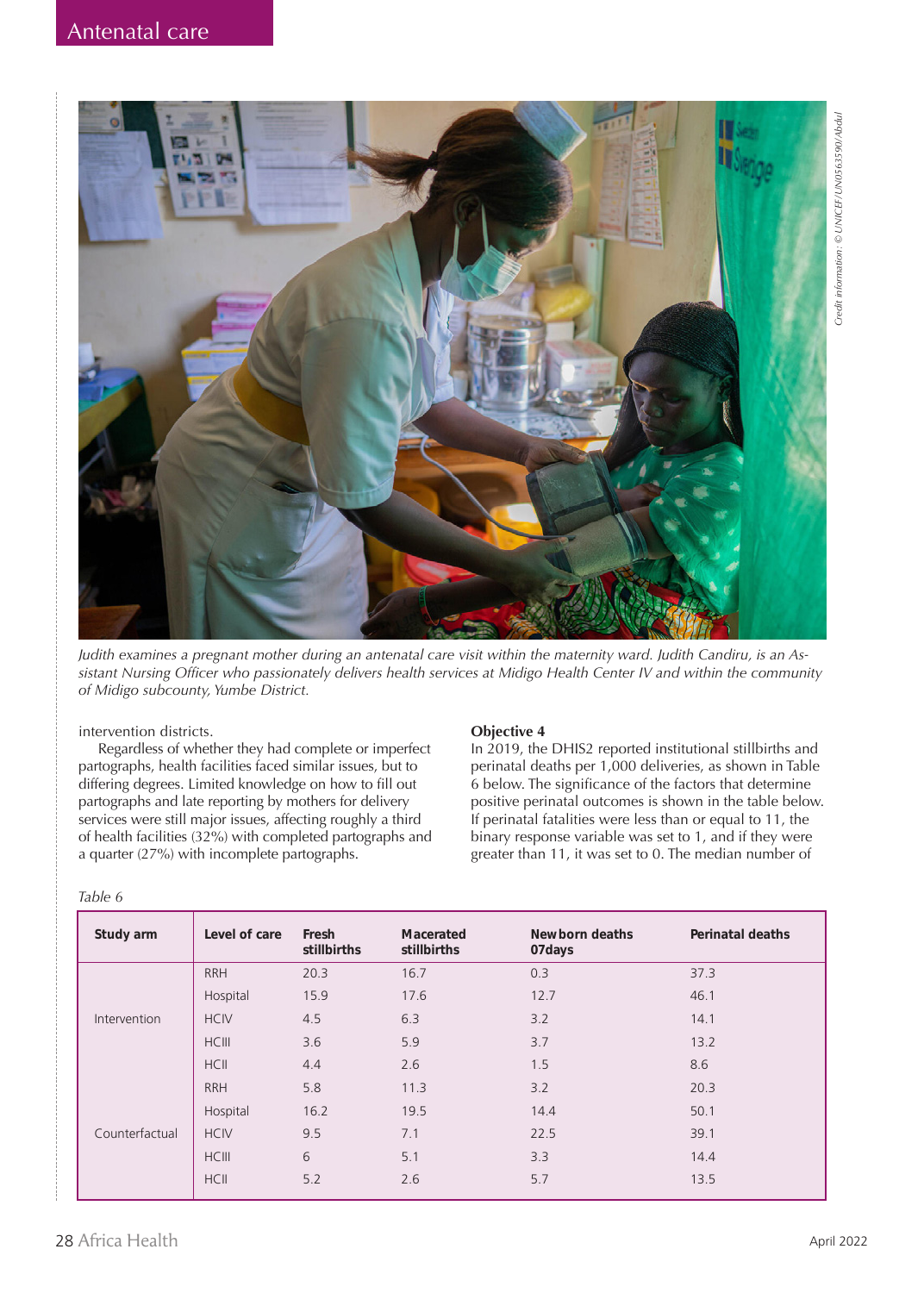

*Judith examines a pregnant mother during an antenatal care visit within the maternity ward. Judith Candiru, is an Assistant Nursing Officer who passionately delivers health services at Midigo Health Center IV and within the community of Midigo subcounty, Yumbe District.*

intervention districts.

Regardless of whether they had complete or imperfect partographs, health facilities faced similar issues, but to differing degrees. Limited knowledge on how to fill out partographs and late reporting by mothers for delivery services were still major issues, affecting roughly a third of health facilities (32%) with completed partographs and a quarter (27%) with incomplete partographs.

#### *Table 6*

## **Objective 4**

In 2019, the DHIS2 reported institutional stillbirths and perinatal deaths per 1,000 deliveries, as shown in Table 6 below. The significance of the factors that determine positive perinatal outcomes is shown in the table below. If perinatal fatalities were less than or equal to 11, the binary response variable was set to 1, and if they were greater than 11, it was set to 0. The median number of

| Study arm      | Level of care | Fresh<br>stillbirths | Macerated<br>stillbirths | Newborn deaths<br>07days | <b>Perinatal deaths</b> |
|----------------|---------------|----------------------|--------------------------|--------------------------|-------------------------|
|                | <b>RRH</b>    | 20.3                 | 16.7                     | 0.3                      | 37.3                    |
|                | Hospital      | 15.9                 | 17.6                     | 12.7                     | 46.1                    |
| Intervention   | <b>HCIV</b>   | 4.5                  | 6.3                      | 3.2                      | 14.1                    |
|                | <b>HCIII</b>  | 3.6                  | 5.9                      | 3.7                      | 13.2                    |
|                | <b>HCII</b>   | 4.4                  | 2.6                      | 1.5                      | 8.6                     |
|                | <b>RRH</b>    | 5.8                  | 11.3                     | 3.2                      | 20.3                    |
|                | Hospital      | 16.2                 | 19.5                     | 14.4                     | 50.1                    |
| Counterfactual | <b>HCIV</b>   | 9.5                  | 7.1                      | 22.5                     | 39.1                    |
|                | <b>HCIII</b>  | 6                    | 5.1                      | 3.3                      | 14.4                    |
|                | <b>HCII</b>   | 5.2                  | 2.6                      | 5.7                      | 13.5                    |